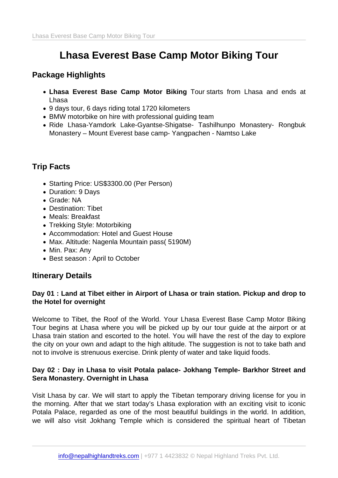# Lhasa Everest Base Camp Motor Biking Tour

# Package Highlights

- Lhasa Everest Base Camp Motor Biking Tour starts from Lhasa and ends at Lhasa
- 9 days tour, 6 days riding total 1720 kilometers
- BMW motorbike on hire with professional quiding team
- Ride Lhasa-Yamdork Lake-Gyantse-Shigatse- Tashilhunpo Monastery- Rongbuk Monastery – Mount Everest base camp- Yangpachen - Namtso Lake

# Trip Facts

- Starting Price: US\$3300.00 (Per Person)
- Duration: 9 Days
- Grade: NA
- Destination: Tibet
- Meals: Breakfast
- Trekking Style: Motorbiking
- Accommodation: Hotel and Guest House
- Max. Altitude: Nagenla Mountain pass( 5190M)
- Min. Pax: Any
- Best season : April to October

## Itinerary Details

Day 01 : Land at Tibet either in Airport of Lhasa or train station. Pickup and drop to the Hotel for overnight

Welcome to Tibet, the Roof of the World. Your Lhasa Everest Base Camp Motor Biking Tour begins at Lhasa where you will be picked up by our tour guide at the airport or at Lhasa train station and escorted to the hotel. You will have the rest of the day to explore the city on your own and adapt to the high altitude. The suggestion is not to take bath and not to involve is strenuous exercise. Drink plenty of water and take liquid foods.

Day 02 : Day in Lhasa to visit Potala palace- Jokhang Temple- Barkhor Street and Sera Monastery. Overnight in Lhasa

Visit Lhasa by car. We will start to apply the Tibetan temporary driving license for you in the morning. After that we start today's Lhasa exploration with an exciting visit to iconic Potala Palace, regarded as one of the most beautiful buildings in the world. In addition, we will also visit Jokhang Temple which is considered the spiritual heart of Tibetan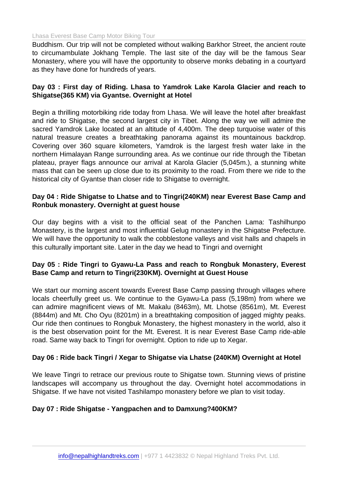#### Lhasa Everest Base Camp Motor Biking Tour

Buddhism. Our trip will not be completed without walking Barkhor Street, the ancient route to circumambulate Jokhang Temple. The last site of the day will be the famous Sear Monastery, where you will have the opportunity to observe monks debating in a courtyard as they have done for hundreds of years.

Day 03 : First day of Riding. Lhasa to Yamdrok Lake Karola Glacier and reach to Shigatse(365 KM) via Gyantse. Overnight at Hotel

Begin a thrilling motorbiking ride today from Lhasa. We will leave the hotel after breakfast and ride to Shigatse, the second largest city in Tibet. Along the way we will admire the sacred Yamdrok Lake located at an altitude of 4,400m. The deep turquoise water of this natural treasure creates a breathtaking panorama against its mountainous backdrop. Covering over 360 square kilometers, Yamdrok is the largest fresh water lake in the northern Himalayan Range surrounding area. As we continue our ride through the Tibetan plateau, prayer flags announce our arrival at Karola Glacier (5,045m.), a stunning white mass that can be seen up close due to its proximity to the road. From there we ride to the historical city of Gyantse than closer ride to Shigatse to overnight.

Day 04 : Ride Shigatse to Lhatse and to Tingri(240KM) near Everest Base Camp and Ronbuk monastery. Overnight at guest house

Our day begins with a visit to the official seat of the Panchen Lama: Tashilhunpo Monastery, is the largest and most influential Gelug monastery in the Shigatse Prefecture. We will have the opportunity to walk the cobblestone valleys and visit halls and chapels in this culturally important site. Later in the day we head to Tingri and overnight

Day 05 : Ride Tingri to Gyawu-La Pass and reach to Rongbuk Monastery, Everest Base Camp and return to Tingri(230KM). Overnight at Guest House

We start our morning ascent towards Everest Base Camp passing through villages where locals cheerfully greet us. We continue to the Gyawu-La pass (5,198m) from where we can admire magnificent views of Mt. Makalu (8463m), Mt. Lhotse (8561m), Mt. Everest (8844m) and Mt. Cho Oyu (8201m) in a breathtaking composition of jagged mighty peaks. Our ride then continues to Rongbuk Monastery, the highest monastery in the world, also it is the best observation point for the Mt. Everest. It is near Everest Base Camp ride-able road. Same way back to Tingri for overnight. Option to ride up to Xegar.

Day 06 : Ride back Tingri / Xegar to Shigatse via Lhatse (240KM) Overnight at Hotel

We leave Tingri to retrace our previous route to Shigatse town. Stunning views of pristine landscapes will accompany us throughout the day. Overnight hotel accommodations in Shigatse. If we have not visited Tashilampo monastery before we plan to visit today.

Day 07 : Ride Shigatse - Yangpachen and to Damxung?400KM?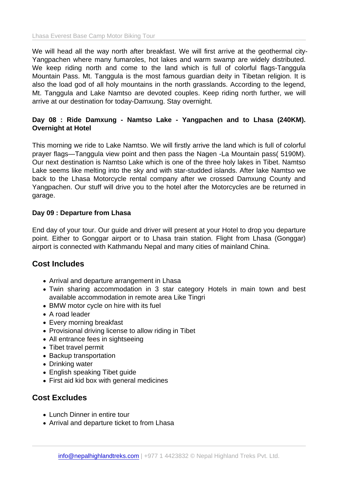We will head all the way north after breakfast. We will first arrive at the geothermal city-Yangpachen where many fumaroles, hot lakes and warm swamp are widely distributed. We keep riding north and come to the land which is full of colorful flags-Tanggula Mountain Pass. Mt. Tanggula is the most famous guardian deity in Tibetan religion. It is also the load god of all holy mountains in the north grasslands. According to the legend, Mt. Tanggula and Lake Namtso are devoted couples. Keep riding north further, we will arrive at our destination for today-Damxung. Stay overnight.

Day 08 : Ride Damxung - Namtso Lake - Yangpachen and to Lhasa (240KM). Overnight at Hotel

This morning we ride to Lake Namtso. We will firstly arrive the land which is full of colorful prayer flags—Tanggula view point and then pass the Nagen -La Mountain pass( 5190M). Our next destination is Namtso Lake which is one of the three holy lakes in Tibet. Namtso Lake seems like melting into the sky and with star-studded islands. After lake Namtso we back to the Lhasa Motorcycle rental company after we crossed Damxung County and Yangpachen. Our stuff will drive you to the hotel after the Motorcycles are be returned in garage.

Day 09 : Departure from Lhasa

End day of your tour. Our guide and driver will present at your Hotel to drop you departure point. Either to Gonggar airport or to Lhasa train station. Flight from Lhasa (Gonggar) airport is connected with Kathmandu Nepal and many cities of mainland China.

#### Cost Includes

- Arrival and departure arrangement in Lhasa
- Twin sharing accommodation in 3 star category Hotels in main town and best available accommodation in remote area Like Tingri
- BMW motor cycle on hire with its fuel
- A road leader
- Every morning breakfast
- Provisional driving license to allow riding in Tibet
- All entrance fees in sightseeing
- Tibet travel permit
- Backup transportation
- Drinking water
- English speaking Tibet guide
- First aid kid box with general medicines

#### Cost Excludes

- Lunch Dinner in entire tour
- Arrival and departure ticket to from Lhasa